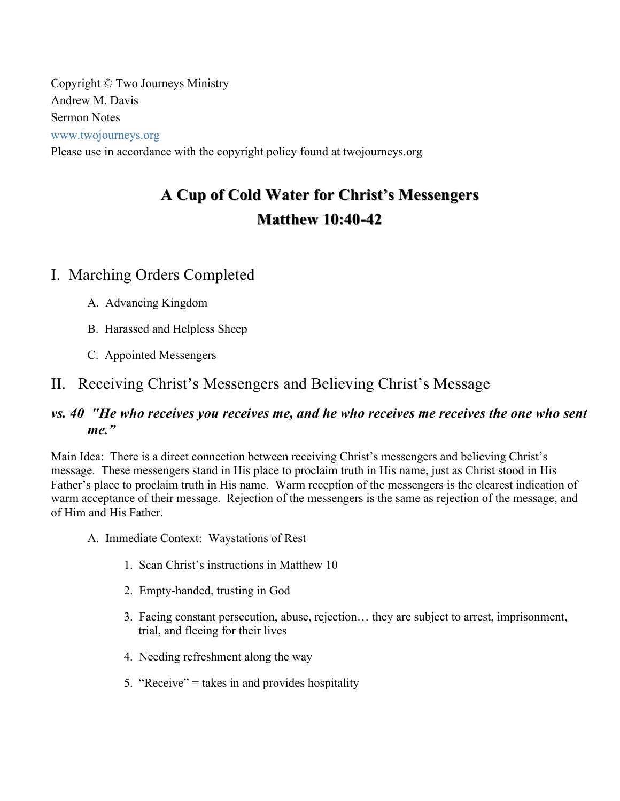Copyright © Two Journeys Ministry Andrew M. Davis Sermon Notes www.twojourneys.org Please use in accordance with the copyright policy found at twojourneys.org

# **A Cup of Cold Water for Christ's Messengers A Cup of Cold Water for Christ's Messengers Matthew 10:40 Matthew 10:40-42**

# I. Marching Orders Completed

- A. Advancing Kingdom
- B. Harassed and Helpless Sheep
- C. Appointed Messengers

# II. Receiving Christ's Messengers and Believing Christ's Message

#### *vs. 40 "He who receives you receives me, and he who receives me receives the one who sent me."*

Main Idea: There is a direct connection between receiving Christ's messengers and believing Christ's message. These messengers stand in His place to proclaim truth in His name, just as Christ stood in His Father's place to proclaim truth in His name. Warm reception of the messengers is the clearest indication of warm acceptance of their message. Rejection of the messengers is the same as rejection of the message, and of Him and His Father.

A. Immediate Context: Waystations of Rest

- 1. Scan Christ's instructions in Matthew 10
- 2. Empty-handed, trusting in God
- 3. Facing constant persecution, abuse, rejection… they are subject to arrest, imprisonment, trial, and fleeing for their lives
- 4. Needing refreshment along the way
- 5. "Receive" = takes in and provides hospitality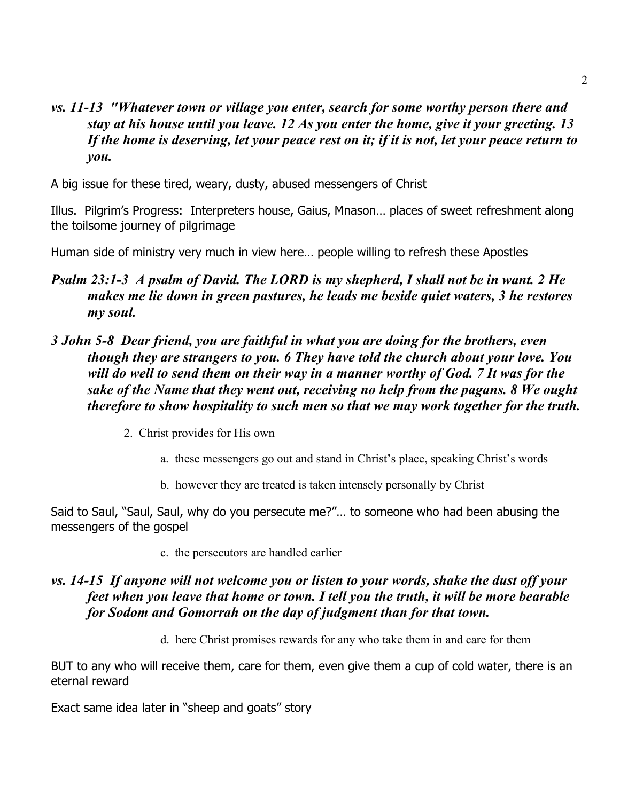#### *vs. 11-13 "Whatever town or village you enter, search for some worthy person there and stay at his house until you leave. 12 As you enter the home, give it your greeting. 13 If the home is deserving, let your peace rest on it; if it is not, let your peace return to you.*

A big issue for these tired, weary, dusty, abused messengers of Christ

Illus. Pilgrim's Progress: Interpreters house, Gaius, Mnason… places of sweet refreshment along the toilsome journey of pilgrimage

Human side of ministry very much in view here… people willing to refresh these Apostles

#### *Psalm 23:1-3 A psalm of David. The LORD is my shepherd, I shall not be in want. 2 He makes me lie down in green pastures, he leads me beside quiet waters, 3 he restores my soul.*

#### *3 John 5-8 Dear friend, you are faithful in what you are doing for the brothers, even though they are strangers to you. 6 They have told the church about your love. You will do well to send them on their way in a manner worthy of God. 7 It was for the sake of the Name that they went out, receiving no help from the pagans. 8 We ought therefore to show hospitality to such men so that we may work together for the truth.*

- 2. Christ provides for His own
	- a. these messengers go out and stand in Christ's place, speaking Christ's words
	- b. however they are treated is taken intensely personally by Christ

Said to Saul, "Saul, Saul, why do you persecute me?"… to someone who had been abusing the messengers of the gospel

c. the persecutors are handled earlier

#### *vs. 14-15 If anyone will not welcome you or listen to your words, shake the dust off your feet when you leave that home or town. I tell you the truth, it will be more bearable for Sodom and Gomorrah on the day of judgment than for that town.*

d. here Christ promises rewards for any who take them in and care for them

BUT to any who will receive them, care for them, even give them a cup of cold water, there is an eternal reward

Exact same idea later in "sheep and goats" story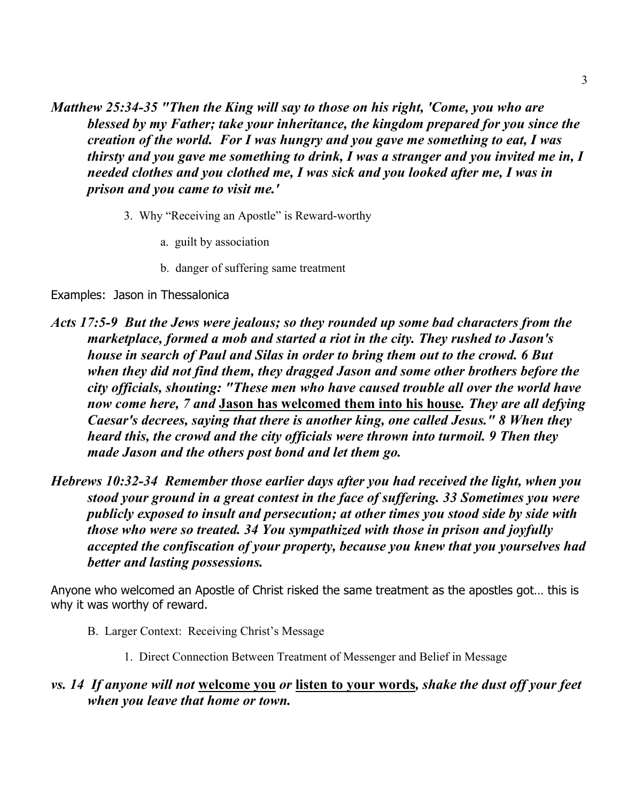*Matthew 25:34-35 "Then the King will say to those on his right, 'Come, you who are blessed by my Father; take your inheritance, the kingdom prepared for you since the creation of the world. For I was hungry and you gave me something to eat, I was thirsty and you gave me something to drink, I was a stranger and you invited me in, I needed clothes and you clothed me, I was sick and you looked after me, I was in prison and you came to visit me.'*

- 3. Why "Receiving an Apostle" is Reward-worthy
	- a. guilt by association
	- b. danger of suffering same treatment

#### Examples: Jason in Thessalonica

- *Acts 17:5-9 But the Jews were jealous; so they rounded up some bad characters from the marketplace, formed a mob and started a riot in the city. They rushed to Jason's house in search of Paul and Silas in order to bring them out to the crowd. 6 But when they did not find them, they dragged Jason and some other brothers before the city officials, shouting: "These men who have caused trouble all over the world have now come here, 7 and* **Jason has welcomed them into his house***. They are all defying Caesar's decrees, saying that there is another king, one called Jesus." 8 When they heard this, the crowd and the city officials were thrown into turmoil. 9 Then they made Jason and the others post bond and let them go.*
- *Hebrews 10:32-34 Remember those earlier days after you had received the light, when you stood your ground in a great contest in the face of suffering. 33 Sometimes you were publicly exposed to insult and persecution; at other times you stood side by side with those who were so treated. 34 You sympathized with those in prison and joyfully accepted the confiscation of your property, because you knew that you yourselves had better and lasting possessions.*

Anyone who welcomed an Apostle of Christ risked the same treatment as the apostles got… this is why it was worthy of reward.

- B. Larger Context: Receiving Christ's Message
	- 1. Direct Connection Between Treatment of Messenger and Belief in Message

#### *vs. 14 If anyone will not* **welcome you** *or* **listen to your words***, shake the dust off your feet when you leave that home or town.*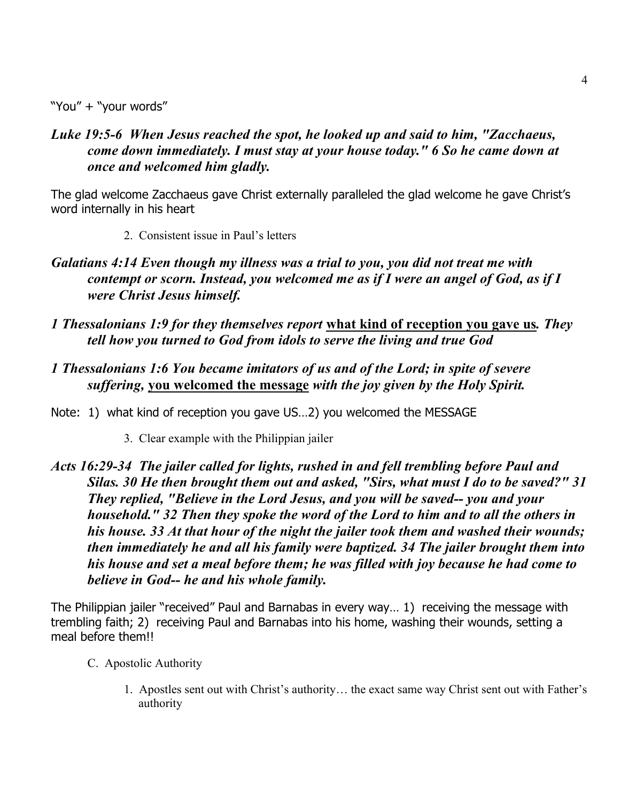"You" + "your words"

*Luke 19:5-6 When Jesus reached the spot, he looked up and said to him, "Zacchaeus, come down immediately. I must stay at your house today." 6 So he came down at once and welcomed him gladly.*

The glad welcome Zacchaeus gave Christ externally paralleled the glad welcome he gave Christ's word internally in his heart

- 2. Consistent issue in Paul's letters
- *Galatians 4:14 Even though my illness was a trial to you, you did not treat me with contempt or scorn. Instead, you welcomed me as if I were an angel of God, as if I were Christ Jesus himself.*
- *1 Thessalonians 1:9 for they themselves report* **what kind of reception you gave us***. They tell how you turned to God from idols to serve the living and true God*
- *1 Thessalonians 1:6 You became imitators of us and of the Lord; in spite of severe suffering,* **you welcomed the message** *with the joy given by the Holy Spirit.*

Note: 1) what kind of reception you gave US…2) you welcomed the MESSAGE

- 3. Clear example with the Philippian jailer
- *Acts 16:29-34 The jailer called for lights, rushed in and fell trembling before Paul and Silas. 30 He then brought them out and asked, "Sirs, what must I do to be saved?" 31 They replied, "Believe in the Lord Jesus, and you will be saved-- you and your household." 32 Then they spoke the word of the Lord to him and to all the others in his house. 33 At that hour of the night the jailer took them and washed their wounds; then immediately he and all his family were baptized. 34 The jailer brought them into his house and set a meal before them; he was filled with joy because he had come to believe in God-- he and his whole family.*

The Philippian jailer "received" Paul and Barnabas in every way… 1) receiving the message with trembling faith; 2) receiving Paul and Barnabas into his home, washing their wounds, setting a meal before them!!

- C. Apostolic Authority
	- 1. Apostles sent out with Christ's authority… the exact same way Christ sent out with Father's authority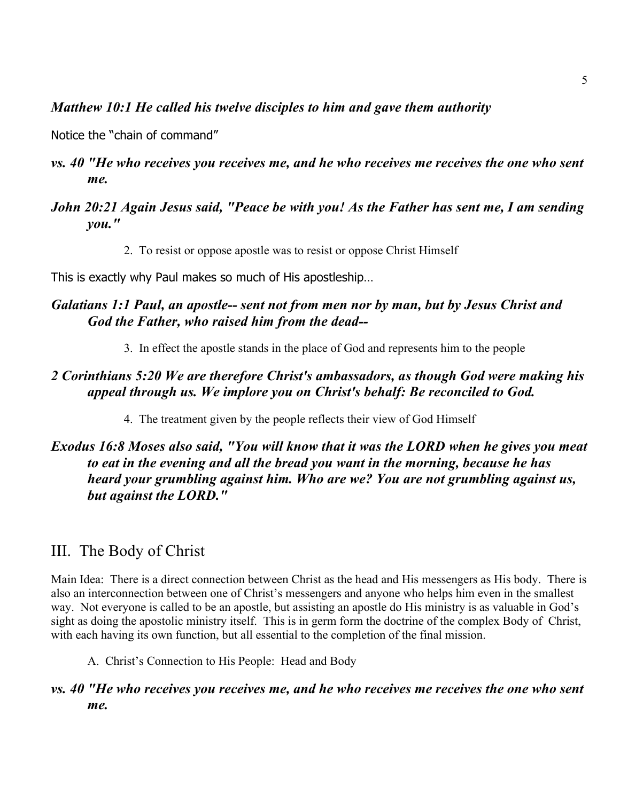#### *Matthew 10:1 He called his twelve disciples to him and gave them authority*

Notice the "chain of command"

- *vs. 40 "He who receives you receives me, and he who receives me receives the one who sent me.*
- *John 20:21 Again Jesus said, "Peace be with you! As the Father has sent me, I am sending you."*
	- 2. To resist or oppose apostle was to resist or oppose Christ Himself

This is exactly why Paul makes so much of His apostleship…

#### *Galatians 1:1 Paul, an apostle-- sent not from men nor by man, but by Jesus Christ and God the Father, who raised him from the dead--*

3. In effect the apostle stands in the place of God and represents him to the people

## *2 Corinthians 5:20 We are therefore Christ's ambassadors, as though God were making his appeal through us. We implore you on Christ's behalf: Be reconciled to God.*

4. The treatment given by the people reflects their view of God Himself

#### *Exodus 16:8 Moses also said, "You will know that it was the LORD when he gives you meat to eat in the evening and all the bread you want in the morning, because he has heard your grumbling against him. Who are we? You are not grumbling against us, but against the LORD."*

## III. The Body of Christ

Main Idea: There is a direct connection between Christ as the head and His messengers as His body. There is also an interconnection between one of Christ's messengers and anyone who helps him even in the smallest way. Not everyone is called to be an apostle, but assisting an apostle do His ministry is as valuable in God's sight as doing the apostolic ministry itself. This is in germ form the doctrine of the complex Body of Christ, with each having its own function, but all essential to the completion of the final mission.

A. Christ's Connection to His People: Head and Body

#### *vs. 40 "He who receives you receives me, and he who receives me receives the one who sent me.*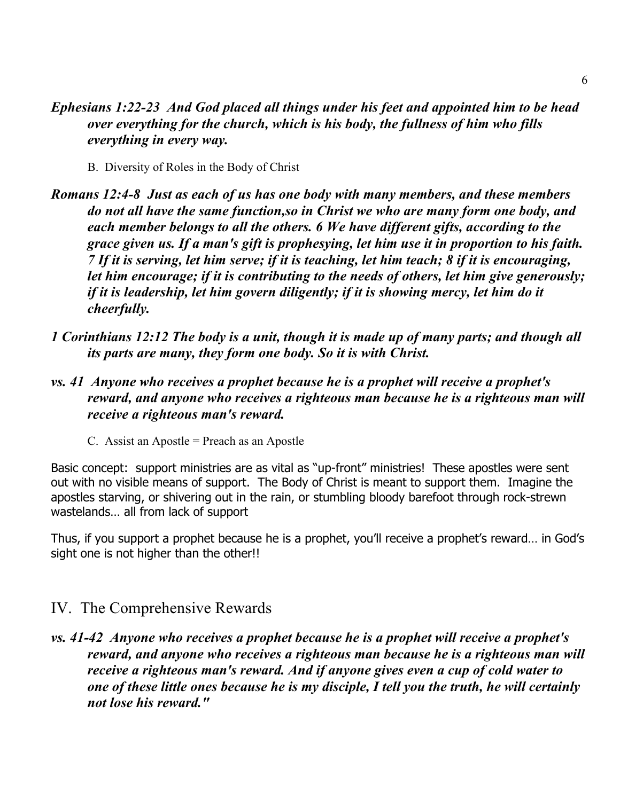#### *Ephesians 1:22-23 And God placed all things under his feet and appointed him to be head over everything for the church, which is his body, the fullness of him who fills everything in every way.*

- B. Diversity of Roles in the Body of Christ
- *Romans 12:4-8 Just as each of us has one body with many members, and these members do not all have the same function,so in Christ we who are many form one body, and each member belongs to all the others. 6 We have different gifts, according to the grace given us. If a man's gift is prophesying, let him use it in proportion to his faith. 7 If it is serving, let him serve; if it is teaching, let him teach; 8 if it is encouraging, let him encourage; if it is contributing to the needs of others, let him give generously; if it is leadership, let him govern diligently; if it is showing mercy, let him do it cheerfully.*
- *1 Corinthians 12:12 The body is a unit, though it is made up of many parts; and though all its parts are many, they form one body. So it is with Christ.*
- *vs. 41 Anyone who receives a prophet because he is a prophet will receive a prophet's reward, and anyone who receives a righteous man because he is a righteous man will receive a righteous man's reward.*
	- C. Assist an Apostle = Preach as an Apostle

Basic concept: support ministries are as vital as "up-front" ministries! These apostles were sent out with no visible means of support. The Body of Christ is meant to support them. Imagine the apostles starving, or shivering out in the rain, or stumbling bloody barefoot through rock-strewn wastelands… all from lack of support

Thus, if you support a prophet because he is a prophet, you'll receive a prophet's reward… in God's sight one is not higher than the other!!

## IV. The Comprehensive Rewards

*vs. 41-42 Anyone who receives a prophet because he is a prophet will receive a prophet's reward, and anyone who receives a righteous man because he is a righteous man will receive a righteous man's reward. And if anyone gives even a cup of cold water to one of these little ones because he is my disciple, I tell you the truth, he will certainly not lose his reward."*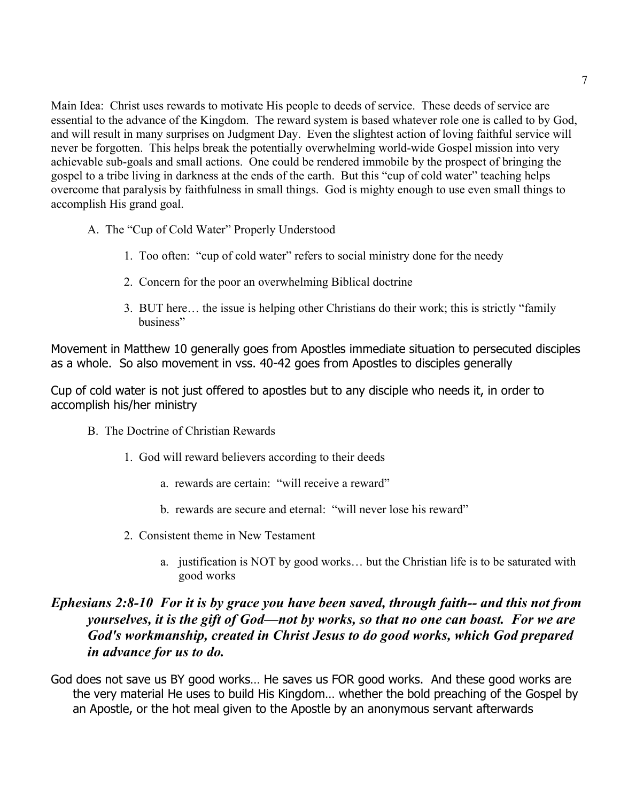Main Idea: Christ uses rewards to motivate His people to deeds of service. These deeds of service are essential to the advance of the Kingdom. The reward system is based whatever role one is called to by God, and will result in many surprises on Judgment Day. Even the slightest action of loving faithful service will never be forgotten. This helps break the potentially overwhelming world-wide Gospel mission into very achievable sub-goals and small actions. One could be rendered immobile by the prospect of bringing the gospel to a tribe living in darkness at the ends of the earth. But this "cup of cold water" teaching helps overcome that paralysis by faithfulness in small things. God is mighty enough to use even small things to accomplish His grand goal.

- A. The "Cup of Cold Water" Properly Understood
	- 1. Too often: "cup of cold water" refers to social ministry done for the needy
	- 2. Concern for the poor an overwhelming Biblical doctrine
	- 3. BUT here… the issue is helping other Christians do their work; this is strictly "family business"

Movement in Matthew 10 generally goes from Apostles immediate situation to persecuted disciples as a whole. So also movement in vss. 40-42 goes from Apostles to disciples generally

Cup of cold water is not just offered to apostles but to any disciple who needs it, in order to accomplish his/her ministry

- B. The Doctrine of Christian Rewards
	- 1. God will reward believers according to their deeds
		- a. rewards are certain: "will receive a reward"
		- b. rewards are secure and eternal: "will never lose his reward"
	- 2. Consistent theme in New Testament
		- a. justification is NOT by good works… but the Christian life is to be saturated with good works

#### *Ephesians 2:8-10 For it is by grace you have been saved, through faith-- and this not from yourselves, it is the gift of God—not by works, so that no one can boast. For we are God's workmanship, created in Christ Jesus to do good works, which God prepared in advance for us to do.*

God does not save us BY good works… He saves us FOR good works. And these good works are the very material He uses to build His Kingdom… whether the bold preaching of the Gospel by an Apostle, or the hot meal given to the Apostle by an anonymous servant afterwards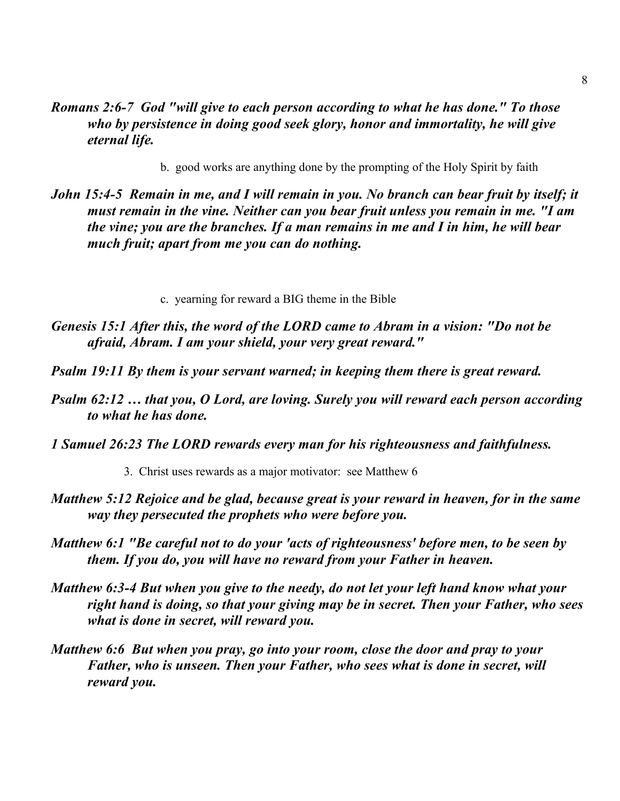- *Romans 2:6-7 God "will give to each person according to what he has done." To those who by persistence in doing good seek glory, honor and immortality, he will give eternal life.*
	- b. good works are anything done by the prompting of the Holy Spirit by faith
- *John 15:4-5 Remain in me, and I will remain in you. No branch can bear fruit by itself; it must remain in the vine. Neither can you bear fruit unless you remain in me. "I am the vine; you are the branches. If a man remains in me and I in him, he will bear much fruit; apart from me you can do nothing.*
	- c. yearning for reward a BIG theme in the Bible
- *Genesis 15:1 After this, the word of the LORD came to Abram in a vision: "Do not be afraid, Abram. I am your shield, your very great reward."*
- *Psalm 19:11 By them is your servant warned; in keeping them there is great reward.*
- *Psalm 62:12 … that you, O Lord, are loving. Surely you will reward each person according to what he has done.*
- *1 Samuel 26:23 The LORD rewards every man for his righteousness and faithfulness.*
	- 3. Christ uses rewards as a major motivator: see Matthew 6
- *Matthew 5:12 Rejoice and be glad, because great is your reward in heaven, for in the same way they persecuted the prophets who were before you.*
- *Matthew 6:1 "Be careful not to do your 'acts of righteousness' before men, to be seen by them. If you do, you will have no reward from your Father in heaven.*
- *Matthew 6:3-4 But when you give to the needy, do not let your left hand know what your right hand is doing, so that your giving may be in secret. Then your Father, who sees what is done in secret, will reward you.*
- *Matthew 6:6 But when you pray, go into your room, close the door and pray to your Father, who is unseen. Then your Father, who sees what is done in secret, will reward you.*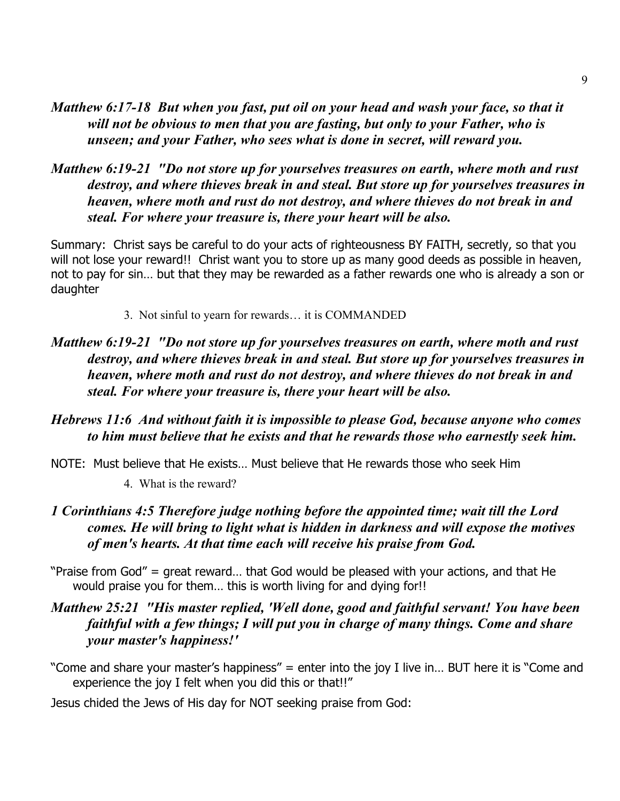- *Matthew 6:17-18 But when you fast, put oil on your head and wash your face, so that it will not be obvious to men that you are fasting, but only to your Father, who is unseen; and your Father, who sees what is done in secret, will reward you.*
- *Matthew 6:19-21 "Do not store up for yourselves treasures on earth, where moth and rust destroy, and where thieves break in and steal. But store up for yourselves treasures in heaven, where moth and rust do not destroy, and where thieves do not break in and steal. For where your treasure is, there your heart will be also.*

Summary: Christ says be careful to do your acts of righteousness BY FAITH, secretly, so that you will not lose your reward!! Christ want you to store up as many good deeds as possible in heaven, not to pay for sin… but that they may be rewarded as a father rewards one who is already a son or daughter

- 3. Not sinful to yearn for rewards… it is COMMANDED
- *Matthew 6:19-21 "Do not store up for yourselves treasures on earth, where moth and rust destroy, and where thieves break in and steal. But store up for yourselves treasures in heaven, where moth and rust do not destroy, and where thieves do not break in and steal. For where your treasure is, there your heart will be also.*
- *Hebrews 11:6 And without faith it is impossible to please God, because anyone who comes to him must believe that he exists and that he rewards those who earnestly seek him.*
- NOTE: Must believe that He exists… Must believe that He rewards those who seek Him

4. What is the reward?

- *1 Corinthians 4:5 Therefore judge nothing before the appointed time; wait till the Lord comes. He will bring to light what is hidden in darkness and will expose the motives of men's hearts. At that time each will receive his praise from God.*
- "Praise from God" = great reward… that God would be pleased with your actions, and that He would praise you for them… this is worth living for and dying for!!
- *Matthew 25:21 "His master replied, 'Well done, good and faithful servant! You have been faithful with a few things; I will put you in charge of many things. Come and share your master's happiness!'*

"Come and share your master's happiness" = enter into the joy I live in… BUT here it is "Come and experience the joy I felt when you did this or that!!"

Jesus chided the Jews of His day for NOT seeking praise from God: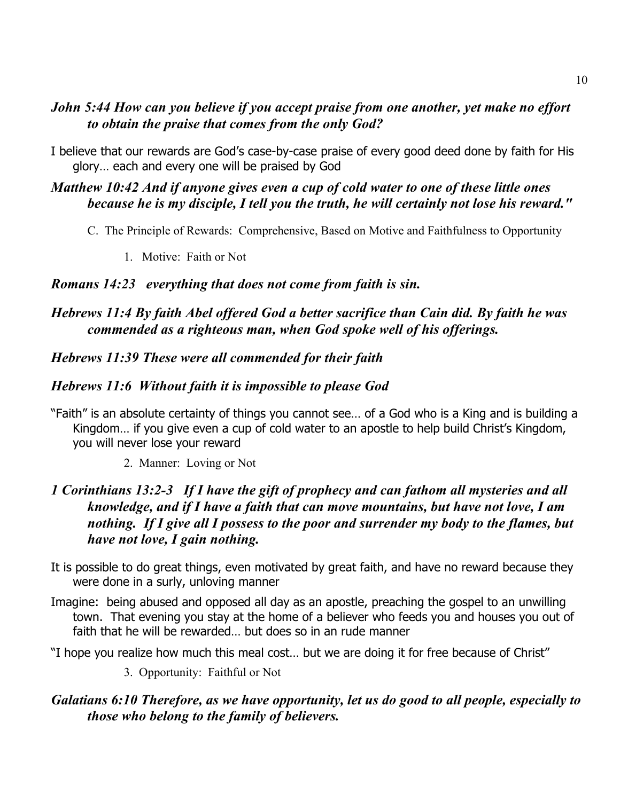#### *John 5:44 How can you believe if you accept praise from one another, yet make no effort to obtain the praise that comes from the only God?*

I believe that our rewards are God's case-by-case praise of every good deed done by faith for His glory… each and every one will be praised by God

## *Matthew 10:42 And if anyone gives even a cup of cold water to one of these little ones because he is my disciple, I tell you the truth, he will certainly not lose his reward."*

- C. The Principle of Rewards: Comprehensive, Based on Motive and Faithfulness to Opportunity
	- 1. Motive: Faith or Not

#### *Romans 14:23 everything that does not come from faith is sin.*

## *Hebrews 11:4 By faith Abel offered God a better sacrifice than Cain did. By faith he was commended as a righteous man, when God spoke well of his offerings.*

## *Hebrews 11:39 These were all commended for their faith*

## *Hebrews 11:6 Without faith it is impossible to please God*

- "Faith" is an absolute certainty of things you cannot see… of a God who is a King and is building a Kingdom… if you give even a cup of cold water to an apostle to help build Christ's Kingdom, you will never lose your reward
	- 2. Manner: Loving or Not

#### *1 Corinthians 13:2-3 If I have the gift of prophecy and can fathom all mysteries and all knowledge, and if I have a faith that can move mountains, but have not love, I am nothing. If I give all I possess to the poor and surrender my body to the flames, but have not love, I gain nothing.*

- It is possible to do great things, even motivated by great faith, and have no reward because they were done in a surly, unloving manner
- Imagine: being abused and opposed all day as an apostle, preaching the gospel to an unwilling town. That evening you stay at the home of a believer who feeds you and houses you out of faith that he will be rewarded… but does so in an rude manner
- "I hope you realize how much this meal cost… but we are doing it for free because of Christ"
	- 3. Opportunity: Faithful or Not

#### *Galatians 6:10 Therefore, as we have opportunity, let us do good to all people, especially to those who belong to the family of believers.*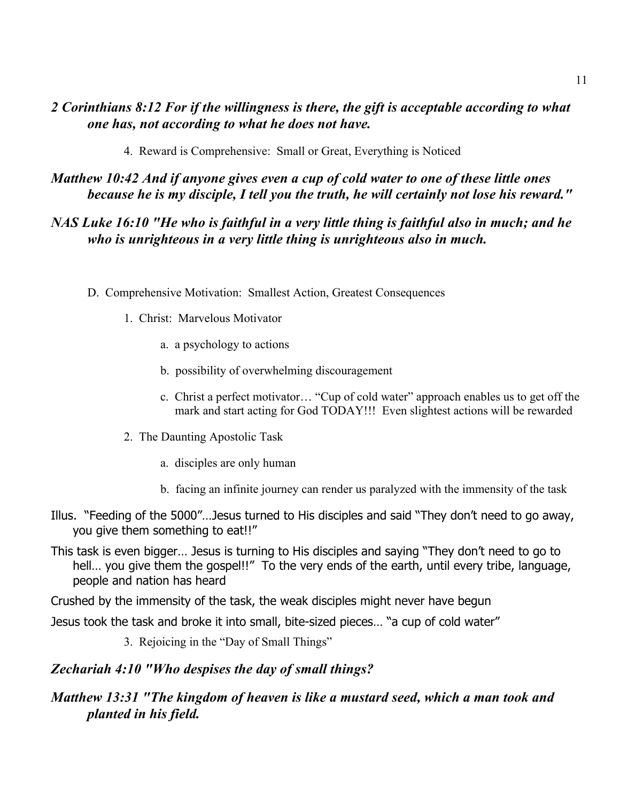#### *2 Corinthians 8:12 For if the willingness is there, the gift is acceptable according to what one has, not according to what he does not have.*

4. Reward is Comprehensive: Small or Great, Everything is Noticed

*Matthew 10:42 And if anyone gives even a cup of cold water to one of these little ones because he is my disciple, I tell you the truth, he will certainly not lose his reward."*

#### *NAS Luke 16:10 "He who is faithful in a very little thing is faithful also in much; and he who is unrighteous in a very little thing is unrighteous also in much.*

- D. Comprehensive Motivation: Smallest Action, Greatest Consequences
	- 1. Christ: Marvelous Motivator
		- a. a psychology to actions
		- b. possibility of overwhelming discouragement
		- c. Christ a perfect motivator… "Cup of cold water" approach enables us to get off the mark and start acting for God TODAY!!! Even slightest actions will be rewarded
	- 2. The Daunting Apostolic Task
		- a. disciples are only human
		- b. facing an infinite journey can render us paralyzed with the immensity of the task
- Illus. "Feeding of the 5000"…Jesus turned to His disciples and said "They don't need to go away, you give them something to eat!!"
- This task is even bigger… Jesus is turning to His disciples and saying "They don't need to go to hell... you give them the gospel!!" To the very ends of the earth, until every tribe, language, people and nation has heard

Crushed by the immensity of the task, the weak disciples might never have begun

Jesus took the task and broke it into small, bite-sized pieces… "a cup of cold water"

3. Rejoicing in the "Day of Small Things"

#### *Zechariah 4:10 "Who despises the day of small things?*

#### *Matthew 13:31 "The kingdom of heaven is like a mustard seed, which a man took and planted in his field.*